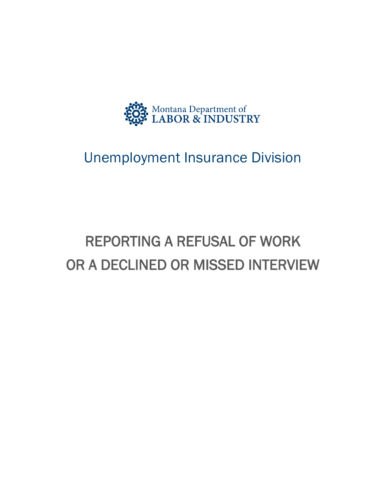

# Unemployment Insurance Division

# REPORTING A REFUSAL OF WORK OR A DECLINED OR MISSED INTERVIEW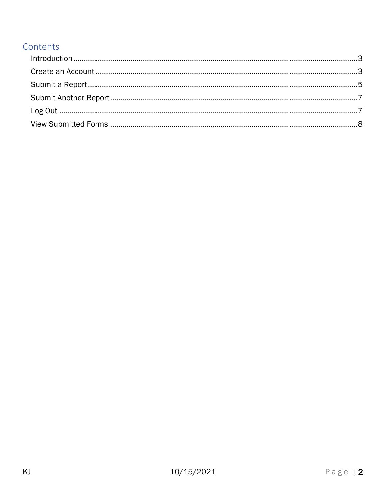#### Contents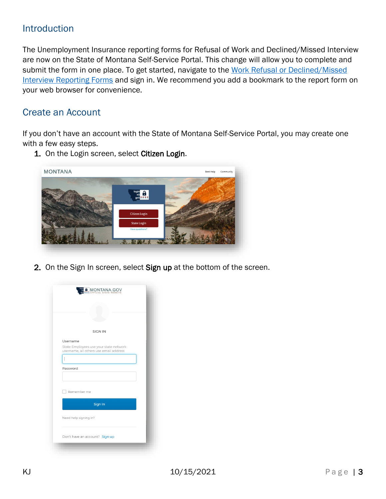#### <span id="page-2-0"></span>Introduction

The Unemployment Insurance reporting forms for Refusal of Work and Declined/Missed Interview are now on the State of Montana Self-Service Portal. This change will allow you to complete and submit the form in one place. To get started, navigate to the [Work Refusal or Declined/Missed](https://montana.servicenowservices.com/citizen?id=sc_cat_item&sys_id=6b540a5d1bed74100b73a8efe54bcbb9) [Interview Reporting Forms](https://montana.servicenowservices.com/citizen?id=sc_cat_item&sys_id=6b540a5d1bed74100b73a8efe54bcbb9) and sign in. We recommend you add a bookmark to the report form on your web browser for convenience.

## <span id="page-2-1"></span>Create an Account

If you don't have an account with the State of Montana Self-Service Portal, you may create one with a few easy steps.



1. On the Login screen, select Citizen Login.

2. On the Sign In screen, select Sign up at the bottom of the screen.

|                       | <b>MONTANA.GOV</b>                                                               |  |
|-----------------------|----------------------------------------------------------------------------------|--|
|                       |                                                                                  |  |
|                       |                                                                                  |  |
|                       |                                                                                  |  |
|                       | <b>SIGN IN</b>                                                                   |  |
| Username              |                                                                                  |  |
|                       | State Employees use your state network<br>username, all others use email address |  |
|                       |                                                                                  |  |
| Password              |                                                                                  |  |
|                       |                                                                                  |  |
|                       |                                                                                  |  |
| Remember me           |                                                                                  |  |
|                       |                                                                                  |  |
|                       | Sign In                                                                          |  |
| Need help signing in? |                                                                                  |  |
|                       |                                                                                  |  |
|                       | Don't have an account? Sign up                                                   |  |
|                       |                                                                                  |  |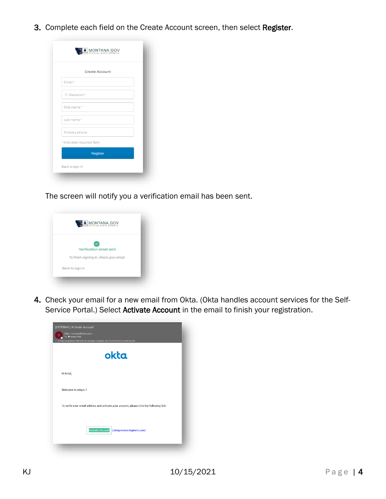3. Complete each field on the Create Account screen, then select Register.

|                         | <b>Create Account</b>      |  |
|-------------------------|----------------------------|--|
| Email*                  |                            |  |
| <sup>4</sup> Password * |                            |  |
| First name*             |                            |  |
| Last name*              |                            |  |
| Primary phone           |                            |  |
|                         | * indicates required field |  |
|                         | Register                   |  |

The screen will notify you a verification email has been sent.



4. Check your email for a new email from Okta. (Okta handles account services for the Self-Service Portal.) Select Activate Account in the email to finish your registration.

|                    | okta                                                                                     |
|--------------------|------------------------------------------------------------------------------------------|
| Hi Kristi,         |                                                                                          |
| Welcome to mtgov ! |                                                                                          |
|                    | To verify your email address and activate your account, please click the following link: |
|                    |                                                                                          |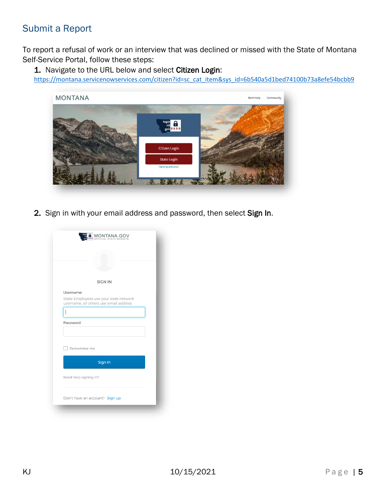## <span id="page-4-0"></span>Submit a Report

To report a refusal of work or an interview that was declined or missed with the State of Montana Self-Service Portal, follow these steps:

1. Navigate to the URL below and select Citizen Login:

[https://montana.servicenowservices.com/citizen?id=sc\\_cat\\_item&sys\\_id=6b540a5d1bed74100b73a8efe54bcbb9](https://montana.servicenowservices.com/citizen?id=sc_cat_item&sys_id=6b540a5d1bed74100b73a8efe54bcbb9)



2. Sign in with your email address and password, then select Sign In.

|                       | <b>MONTANA.GOV</b><br><b>OFFICIAL STATE WEBSITE</b><br>****                      |  |
|-----------------------|----------------------------------------------------------------------------------|--|
|                       |                                                                                  |  |
|                       |                                                                                  |  |
|                       | <b>SIGN IN</b>                                                                   |  |
| Username              |                                                                                  |  |
|                       | State Employees use your state network<br>username, all others use email address |  |
|                       |                                                                                  |  |
| Password              |                                                                                  |  |
|                       |                                                                                  |  |
|                       |                                                                                  |  |
| Remember me           |                                                                                  |  |
|                       | Sign In                                                                          |  |
| Need help signing in? |                                                                                  |  |
|                       |                                                                                  |  |
|                       | Don't have an account? Sign up                                                   |  |
|                       |                                                                                  |  |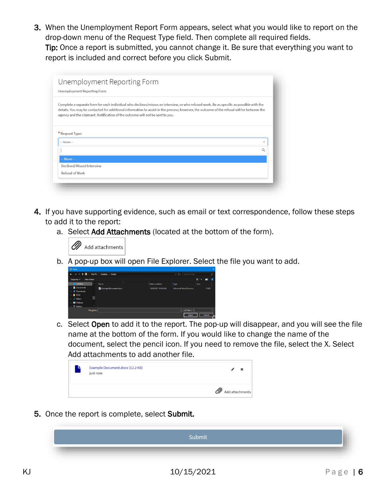3. When the Unemployment Report Form appears, select what you would like to report on the drop-down menu of the Request Type field. Then complete all required fields. Tip: Once a report is submitted, you cannot change it. Be sure that everything you want to report is included and correct before you click Submit.

| Unemployment Reporting Form<br>Unemployment Reporting Form                                                                                                                                                                                                                                                                                                             |  |
|------------------------------------------------------------------------------------------------------------------------------------------------------------------------------------------------------------------------------------------------------------------------------------------------------------------------------------------------------------------------|--|
| Complete a separate form for each individual who declines/misses an interview, or who refused work. Be as specific as possible with the<br>details. You may be contacted for additional information to assist in the process; however, the outcome of the refusal will be between the<br>agency and the claimant. Notification of the outcome will not be sent to you. |  |
|                                                                                                                                                                                                                                                                                                                                                                        |  |
|                                                                                                                                                                                                                                                                                                                                                                        |  |
|                                                                                                                                                                                                                                                                                                                                                                        |  |
| * Request Type:<br>-- None --                                                                                                                                                                                                                                                                                                                                          |  |
| $-$ None $-$                                                                                                                                                                                                                                                                                                                                                           |  |
| Declined/Missed Interview                                                                                                                                                                                                                                                                                                                                              |  |

- 4. If you have supporting evidence, such as email or text correspondence, follow these steps to add it to the report:
	- a. Select Add Attachments (located at the bottom of the form).



b. A pop-up box will open File Explorer. Select the file you want to add.



c. Select Open to add it to the report. The pop-up will disappear, and you will see the file name at the bottom of the form. If you would like to change the name of the document, select the pencil icon. If you need to remove the file, select the X. Select Add attachments to add another file.

| ≞ | Example Document.docx (12.2 KB)<br>just now | $\boldsymbol{\mathsf{x}}$ |
|---|---------------------------------------------|---------------------------|
|   |                                             | 2 Add attachments         |

5. Once the report is complete, select Submit.

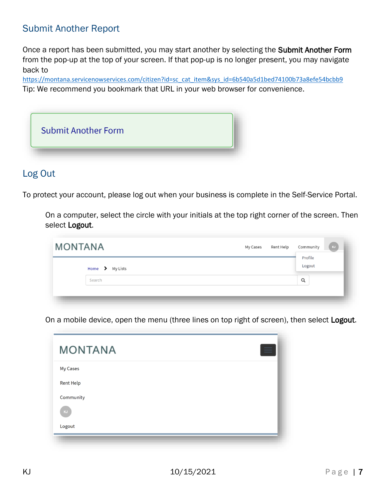# <span id="page-6-0"></span>Submit Another Report

Once a report has been submitted, you may start another by selecting the Submit Another Form from the pop-up at the top of your screen. If that pop-up is no longer present, you may navigate back to

[https://montana.servicenowservices.com/citizen?id=sc\\_cat\\_item&sys\\_id=6b540a5d1bed74100b73a8efe54bcbb9](https://montana.servicenowservices.com/citizen?id=sc_cat_item&sys_id=6b540a5d1bed74100b73a8efe54bcbb9) Tip: We recommend you bookmark that URL in your web browser for convenience.



#### <span id="page-6-1"></span>Log Out

To protect your account, please log out when your business is complete in the Self-Service Portal.

On a computer, select the circle with your initials at the top right corner of the screen. Then select Logout.

| <b>MONTANA</b> |                 | My Cases | Rent Help | Community         | KJ |
|----------------|-----------------|----------|-----------|-------------------|----|
|                | Home > My Lists |          |           | Profile<br>Logout |    |
|                | Search          |          |           | Q                 |    |
|                |                 |          |           |                   |    |

On a mobile device, open the menu (three lines on top right of screen), then select Logout.

| <b>MONTANA</b>   |  |
|------------------|--|
| My Cases         |  |
| <b>Rent Help</b> |  |
| Community        |  |
| KJ               |  |
| Logout           |  |
|                  |  |